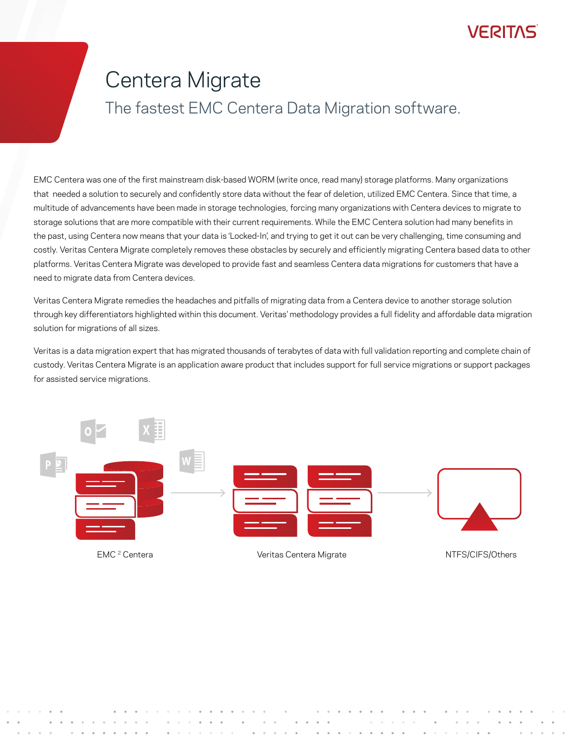### **VEBILVE**

# Centera Migrate

### The fastest EMC Centera Data Migration software.

EMC Centera was one of the first mainstream disk-based WORM (write once, read many) storage platforms. Many organizations that needed a solution to securely and confidently store data without the fear of deletion, utilized EMC Centera. Since that time, a multitude of advancements have been made in storage technologies, forcing many organizations with Centera devices to migrate to storage solutions that are more compatible with their current requirements. While the EMC Centera solution had many benefits in the past, using Centera now means that your data is 'Locked-In', and trying to get it out can be very challenging, time consuming and costly. Veritas Centera Migrate completely removes these obstacles by securely and efficiently migrating Centera based data to other platforms. Veritas Centera Migrate was developed to provide fast and seamless Centera data migrations for customers that have a need to migrate data from Centera devices.

Veritas Centera Migrate remedies the headaches and pitfalls of migrating data from a Centera device to another storage solution through key differentiators highlighted within this document. Veritas' methodology provides a full fidelity and affordable data migration solution for migrations of all sizes.

Veritas is a data migration expert that has migrated thousands of terabytes of data with full validation reporting and complete chain of custody. Veritas Centera Migrate is an application aware product that includes support for full service migrations or support packages for assisted service migrations.



EMC <sup>2</sup> Centera **Migration Centera Migrate** NTFS/CIFS/Others NTFS/CIFS/Others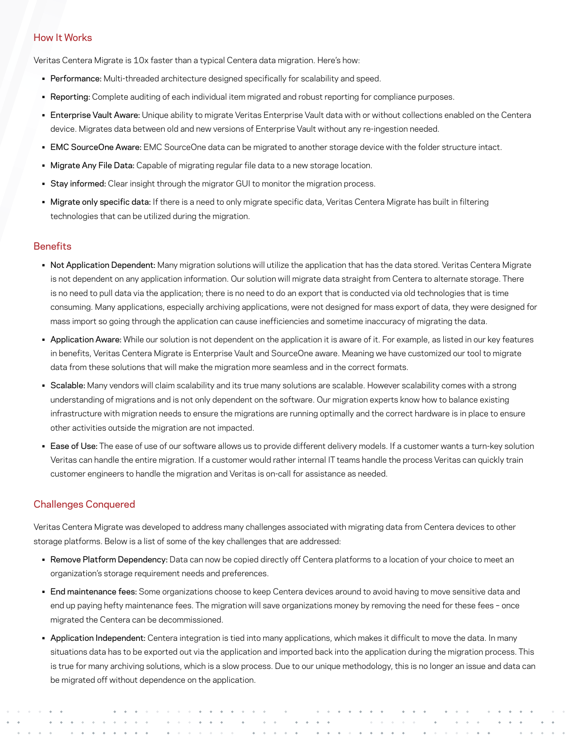#### How It Works

Veritas Centera Migrate is 10x faster than a typical Centera data migration. Here's how:

- Performance: Multi-threaded architecture designed specifically for scalability and speed.
- Reporting: Complete auditing of each individual item migrated and robust reporting for compliance purposes.
- Enterprise Vault Aware: Unique ability to migrate Veritas Enterprise Vault data with or without collections enabled on the Centera device. Migrates data between old and new versions of Enterprise Vault without any re-ingestion needed.
- EMC SourceOne Aware: EMC SourceOne data can be migrated to another storage device with the folder structure intact.
- Migrate Any File Data: Capable of migrating regular file data to a new storage location.
- Stay informed: Clear insight through the migrator GUI to monitor the migration process.
- Migrate only specific data: If there is a need to only migrate specific data, Veritas Centera Migrate has built in filtering technologies that can be utilized during the migration.

#### **Benefits**

- Not Application Dependent: Many migration solutions will utilize the application that has the data stored. Veritas Centera Migrate is not dependent on any application information. Our solution will migrate data straight from Centera to alternate storage. There is no need to pull data via the application; there is no need to do an export that is conducted via old technologies that is time consuming. Many applications, especially archiving applications, were not designed for mass export of data, they were designed for mass import so going through the application can cause inefficiencies and sometime inaccuracy of migrating the data.
- Application Aware: While our solution is not dependent on the application it is aware of it. For example, as listed in our key features in benefits, Veritas Centera Migrate is Enterprise Vault and SourceOne aware. Meaning we have customized our tool to migrate data from these solutions that will make the migration more seamless and in the correct formats.
- Scalable: Many vendors will claim scalability and its true many solutions are scalable. However scalability comes with a strong understanding of migrations and is not only dependent on the software. Our migration experts know how to balance existing infrastructure with migration needs to ensure the migrations are running optimally and the correct hardware is in place to ensure other activities outside the migration are not impacted.
- Ease of Use: The ease of use of our software allows us to provide different delivery models. If a customer wants a turn-key solution Veritas can handle the entire migration. If a customer would rather internal IT teams handle the process Veritas can quickly train customer engineers to handle the migration and Veritas is on-call for assistance as needed.

#### Challenges Conquered

Veritas Centera Migrate was developed to address many challenges associated with migrating data from Centera devices to other storage platforms. Below is a list of some of the key challenges that are addressed:

- Remove Platform Dependency: Data can now be copied directly off Centera platforms to a location of your choice to meet an organization's storage requirement needs and preferences.
- End maintenance fees: Some organizations choose to keep Centera devices around to avoid having to move sensitive data and end up paying hefty maintenance fees. The migration will save organizations money by removing the need for these fees – once migrated the Centera can be decommissioned.
- Application Independent: Centera integration is tied into many applications, which makes it difficult to move the data. In many situations data has to be exported out via the application and imported back into the application during the migration process. This is true for many archiving solutions, which is a slow process. Due to our unique methodology, this is no longer an issue and data can be migrated off without dependence on the application.